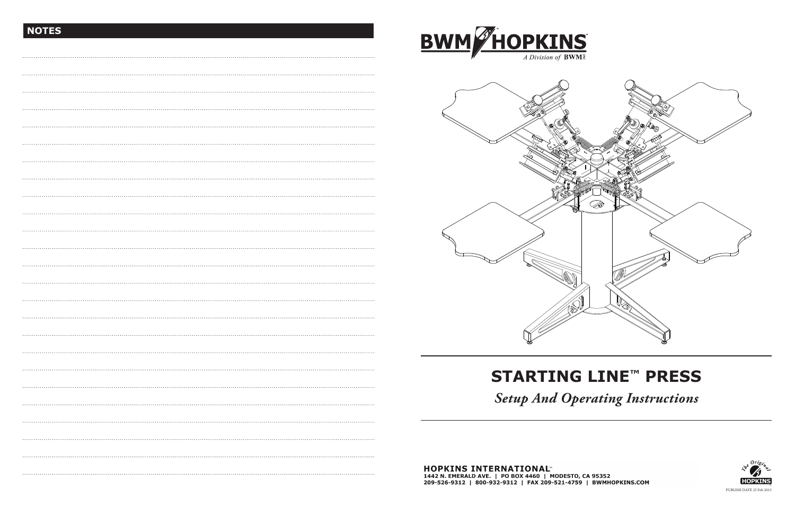# **STARTING LINE™ PRESS**

*Setup And Operating Instructions*



## **NOTES**



1442 N. EMERALD AVE. | PO BOX 4460 | MODESTO, CA 95352<br>209-526-9312 | 800-932-9312 | FAX 209-521-4759 | BWMHOPKINS.COM